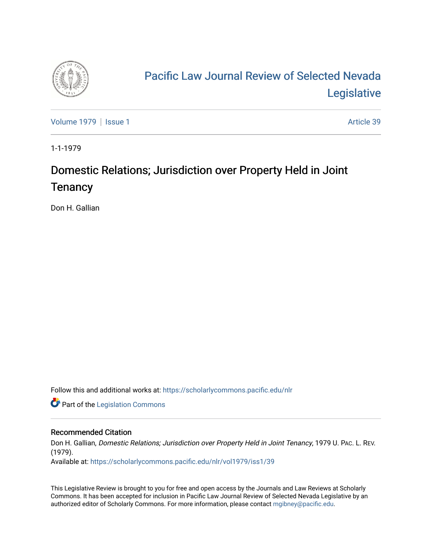

# [Pacific Law Journal Review of Selected Nevada](https://scholarlycommons.pacific.edu/nlr)  [Legislative](https://scholarlycommons.pacific.edu/nlr)

[Volume 1979](https://scholarlycommons.pacific.edu/nlr/vol1979) | [Issue 1](https://scholarlycommons.pacific.edu/nlr/vol1979/iss1) Article 39

1-1-1979

## Domestic Relations; Jurisdiction over Property Held in Joint **Tenancy**

Don H. Gallian

Follow this and additional works at: [https://scholarlycommons.pacific.edu/nlr](https://scholarlycommons.pacific.edu/nlr?utm_source=scholarlycommons.pacific.edu%2Fnlr%2Fvol1979%2Fiss1%2F39&utm_medium=PDF&utm_campaign=PDFCoverPages) 

**Part of the [Legislation Commons](http://network.bepress.com/hgg/discipline/859?utm_source=scholarlycommons.pacific.edu%2Fnlr%2Fvol1979%2Fiss1%2F39&utm_medium=PDF&utm_campaign=PDFCoverPages)** 

### Recommended Citation

Don H. Gallian, Domestic Relations; Jurisdiction over Property Held in Joint Tenancy, 1979 U. PAC. L. REV. (1979).

Available at: [https://scholarlycommons.pacific.edu/nlr/vol1979/iss1/39](https://scholarlycommons.pacific.edu/nlr/vol1979/iss1/39?utm_source=scholarlycommons.pacific.edu%2Fnlr%2Fvol1979%2Fiss1%2F39&utm_medium=PDF&utm_campaign=PDFCoverPages)

This Legislative Review is brought to you for free and open access by the Journals and Law Reviews at Scholarly Commons. It has been accepted for inclusion in Pacific Law Journal Review of Selected Nevada Legislative by an authorized editor of Scholarly Commons. For more information, please contact [mgibney@pacific.edu](mailto:mgibney@pacific.edu).